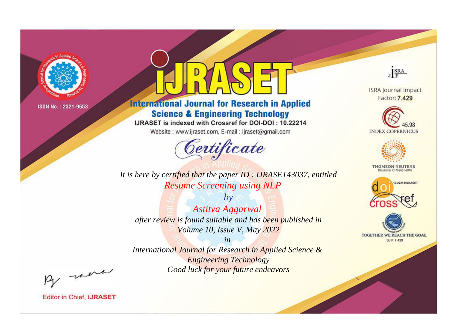

# **International Journal for Research in Applied Science & Engineering Technology**

IJRASET is indexed with Crossref for DOI-DOI: 10.22214

Website: www.ijraset.com, E-mail: ijraset@gmail.com



*It is here by certified that the paper ID : IJRASET43037, entitled Resume Screening using NLP*

*by Astitva Aggarwal after review is found suitable and has been published in Volume 10, Issue V, May 2022*

*in International Journal for Research in Applied Science & Engineering Technology Good luck for your future endeavors*



**ISRA Journal Impact** Factor: 7.429





**THOMSON REUTERS** 





By morn

**Editor in Chief, IJRASET**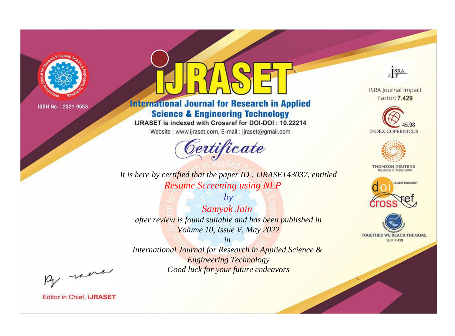

# **International Journal for Research in Applied Science & Engineering Technology**

IJRASET is indexed with Crossref for DOI-DOI: 10.22214

Website: www.ijraset.com, E-mail: ijraset@gmail.com



*It is here by certified that the paper ID : IJRASET43037, entitled Resume Screening using NLP*

*by Samyak Jain after review is found suitable and has been published in Volume 10, Issue V, May 2022*

*in International Journal for Research in Applied Science & Engineering Technology Good luck for your future endeavors*



**Editor in Chief, IJRASET** 

**ISRA Journal Impact** Factor: 7.429

JERA





**THOMSON REUTERS** 



TOGETHER WE REACH THE GOAL **SJIF 7.429**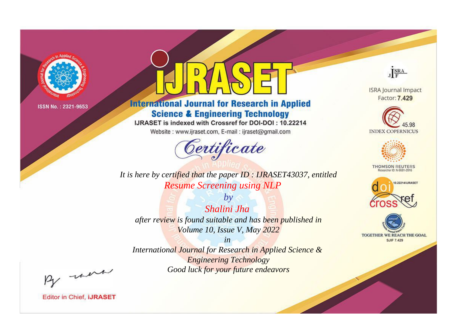

# **International Journal for Research in Applied Science & Engineering Technology**

IJRASET is indexed with Crossref for DOI-DOI: 10.22214

Website: www.ijraset.com, E-mail: ijraset@gmail.com



*It is here by certified that the paper ID : IJRASET43037, entitled Resume Screening using NLP*

*by Shalini Jha after review is found suitable and has been published in Volume 10, Issue V, May 2022*

*in International Journal for Research in Applied Science & Engineering Technology Good luck for your future endeavors*



**ISRA Journal Impact** Factor: 7.429





**THOMSON REUTERS** 





By morn

**Editor in Chief, IJRASET**